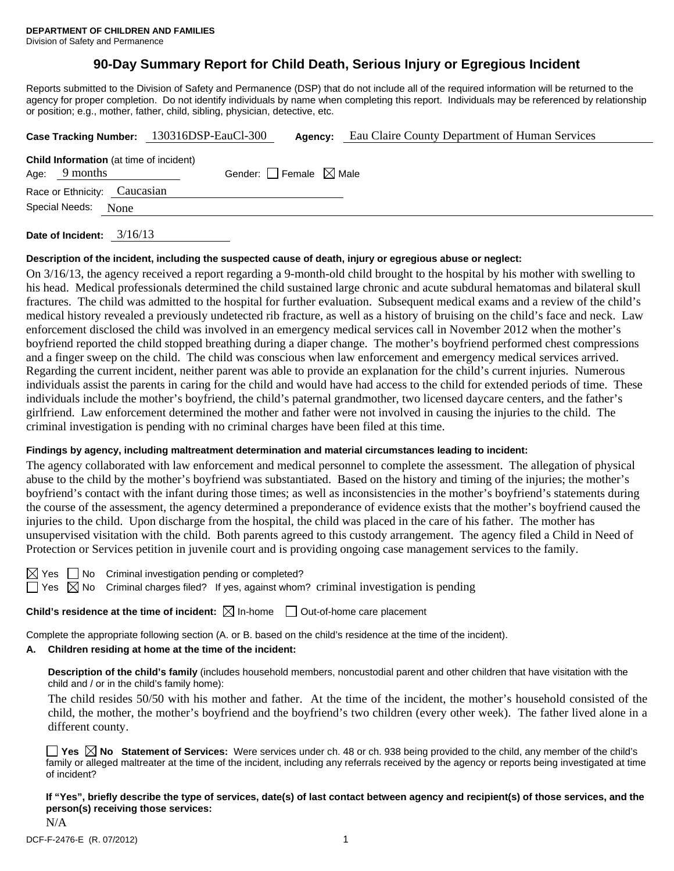# **90-Day Summary Report for Child Death, Serious Injury or Egregious Incident**

Reports submitted to the Division of Safety and Permanence (DSP) that do not include all of the required information will be returned to the agency for proper completion. Do not identify individuals by name when completing this report. Individuals may be referenced by relationship or position; e.g., mother, father, child, sibling, physician, detective, etc.

|                                                                                                      |  | Case Tracking Number: 130316DSP-EauCl-300 | Agency: | Eau Claire County Department of Human Services |  |  |  |  |
|------------------------------------------------------------------------------------------------------|--|-------------------------------------------|---------|------------------------------------------------|--|--|--|--|
| <b>Child Information</b> (at time of incident)<br>Gender: Female $\boxtimes$ Male<br>Age: $9$ months |  |                                           |         |                                                |  |  |  |  |
| Race or Ethnicity: Caucasian                                                                         |  |                                           |         |                                                |  |  |  |  |
| Special Needs:<br>None                                                                               |  |                                           |         |                                                |  |  |  |  |
|                                                                                                      |  |                                           |         |                                                |  |  |  |  |

**Date of Incident:** 3/16/13

#### **Description of the incident, including the suspected cause of death, injury or egregious abuse or neglect:**

On 3/16/13, the agency received a report regarding a 9-month-old child brought to the hospital by his mother with swelling to his head. Medical professionals determined the child sustained large chronic and acute subdural hematomas and bilateral skull fractures. The child was admitted to the hospital for further evaluation. Subsequent medical exams and a review of the child's medical history revealed a previously undetected rib fracture, as well as a history of bruising on the child's face and neck. Law enforcement disclosed the child was involved in an emergency medical services call in November 2012 when the mother's boyfriend reported the child stopped breathing during a diaper change. The mother's boyfriend performed chest compressions and a finger sweep on the child. The child was conscious when law enforcement and emergency medical services arrived. Regarding the current incident, neither parent was able to provide an explanation for the child's current injuries. Numerous individuals assist the parents in caring for the child and would have had access to the child for extended periods of time. These individuals include the mother's boyfriend, the child's paternal grandmother, two licensed daycare centers, and the father's girlfriend. Law enforcement determined the mother and father were not involved in causing the injuries to the child. The criminal investigation is pending with no criminal charges have been filed at this time.

#### **Findings by agency, including maltreatment determination and material circumstances leading to incident:**

The agency collaborated with law enforcement and medical personnel to complete the assessment. The allegation of physical abuse to the child by the mother's boyfriend was substantiated. Based on the history and timing of the injuries; the mother's boyfriend's contact with the infant during those times; as well as inconsistencies in the mother's boyfriend's statements during the course of the assessment, the agency determined a preponderance of evidence exists that the mother's boyfriend caused the injuries to the child. Upon discharge from the hospital, the child was placed in the care of his father. The mother has unsupervised visitation with the child. Both parents agreed to this custody arrangement. The agency filed a Child in Need of Protection or Services petition in juvenile court and is providing ongoing case management services to the family.

 $\boxtimes$  Yes  $\Box$  No Criminal investigation pending or completed?

 $\Box$  Yes  $\boxtimes$  No Criminal charges filed? If yes, against whom? criminal investigation is pending

**Child's residence at the time of incident:**  $\boxtimes$  In-home  $\Box$  Out-of-home care placement

Complete the appropriate following section (A. or B. based on the child's residence at the time of the incident).

#### **A. Children residing at home at the time of the incident:**

**Description of the child's family** (includes household members, noncustodial parent and other children that have visitation with the child and / or in the child's family home):

 The child resides 50/50 with his mother and father. At the time of the incident, the mother's household consisted of the child, the mother, the mother's boyfriend and the boyfriend's two children (every other week). The father lived alone in a different county.

■ Yes ⊠ No Statement of Services: Were services under ch. 48 or ch. 938 being provided to the child, any member of the child's family or alleged maltreater at the time of the incident, including any referrals received by the agency or reports being investigated at time of incident?

**If "Yes", briefly describe the type of services, date(s) of last contact between agency and recipient(s) of those services, and the person(s) receiving those services:**  N/A